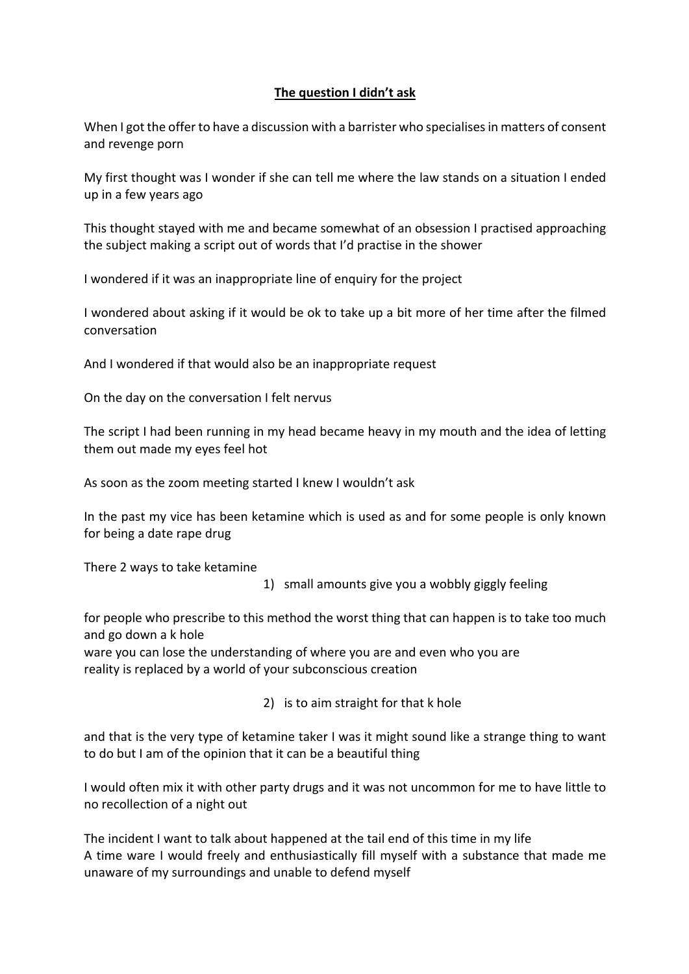## **The question I didn't ask**

When I got the offer to have a discussion with a barrister who specialises in matters of consent and revenge porn

My first thought was I wonder if she can tell me where the law stands on a situation I ended up in a few years ago

This thought stayed with me and became somewhat of an obsession I practised approaching the subject making a script out of words that I'd practise in the shower

I wondered if it was an inappropriate line of enquiry for the project

I wondered about asking if it would be ok to take up a bit more of her time after the filmed conversation

And I wondered if that would also be an inappropriate request

On the day on the conversation I felt nervus

The script I had been running in my head became heavy in my mouth and the idea of letting them out made my eyes feel hot

As soon as the zoom meeting started I knew I wouldn't ask

In the past my vice has been ketamine which is used as and for some people is only known for being a date rape drug

There 2 ways to take ketamine

1) small amounts give you a wobbly giggly feeling

for people who prescribe to this method the worst thing that can happen is to take too much and go down a k hole

ware you can lose the understanding of where you are and even who you are reality is replaced by a world of your subconscious creation

2) is to aim straight for that k hole

and that is the very type of ketamine taker I was it might sound like a strange thing to want to do but I am of the opinion that it can be a beautiful thing

I would often mix it with other party drugs and it was not uncommon for me to have little to no recollection of a night out

The incident I want to talk about happened at the tail end of this time in my life A time ware I would freely and enthusiastically fill myself with a substance that made me unaware of my surroundings and unable to defend myself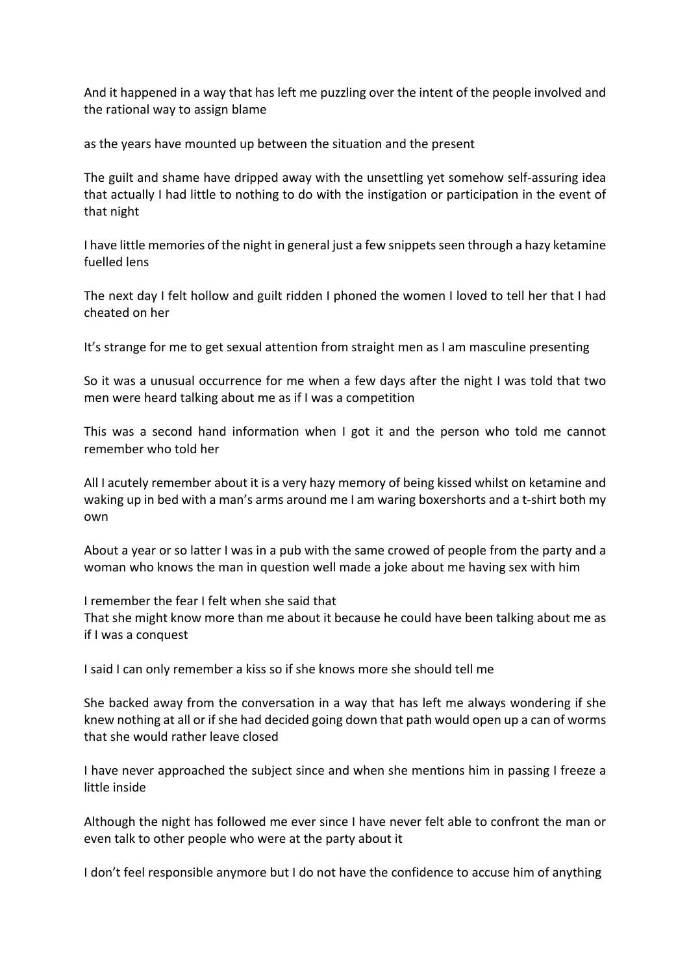And it happened in a way that has left me puzzling over the intent of the people involved and the rational way to assign blame

as the years have mounted up between the situation and the present

The guilt and shame have dripped away with the unsettling yet somehow self-assuring idea that actually I had little to nothing to do with the instigation or participation in the event of that night

I have little memories of the night in general just a few snippets seen through a hazy ketamine fuelled lens

The next day I felt hollow and guilt ridden I phoned the women I loved to tell her that I had cheated on her

It's strange for me to get sexual attention from straight men as I am masculine presenting

So it was a unusual occurrence for me when a few days after the night I was told that two men were heard talking about me as if I was a competition

This was a second hand information when I got it and the person who told me cannot remember who told her

All I acutely remember about it is a very hazy memory of being kissed whilst on ketamine and waking up in bed with a man's arms around me I am waring boxershorts and a t-shirt both my own

About a year or so latter I was in a pub with the same crowed of people from the party and a woman who knows the man in question well made a joke about me having sex with him

I remember the fear I felt when she said that

That she might know more than me about it because he could have been talking about me as if I was a conquest

I said I can only remember a kiss so if she knows more she should tell me

She backed away from the conversation in a way that has left me always wondering if she knew nothing at all or if she had decided going down that path would open up a can of worms that she would rather leave closed

I have never approached the subject since and when she mentions him in passing I freeze a little inside

Although the night has followed me ever since I have never felt able to confront the man or even talk to other people who were at the party about it

I don't feel responsible anymore but I do not have the confidence to accuse him of anything